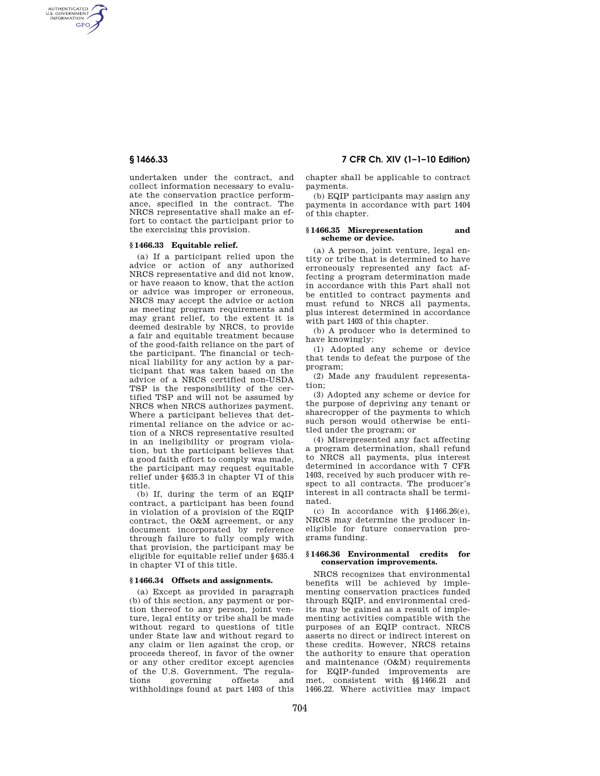AUTHENTICATED<br>U.S. GOVERNMENT<br>INFORMATION **GPO** 

> undertaken under the contract, and collect information necessary to evaluate the conservation practice performance, specified in the contract. The NRCS representative shall make an effort to contact the participant prior to the exercising this provision.

## **§ 1466.33 Equitable relief.**

(a) If a participant relied upon the advice or action of any authorized NRCS representative and did not know, or have reason to know, that the action or advice was improper or erroneous, NRCS may accept the advice or action as meeting program requirements and may grant relief, to the extent it is deemed desirable by NRCS, to provide a fair and equitable treatment because of the good-faith reliance on the part of the participant. The financial or technical liability for any action by a participant that was taken based on the advice of a NRCS certified non-USDA TSP is the responsibility of the certified TSP and will not be assumed by NRCS when NRCS authorizes payment. Where a participant believes that detrimental reliance on the advice or action of a NRCS representative resulted in an ineligibility or program violation, but the participant believes that a good faith effort to comply was made, the participant may request equitable relief under §635.3 in chapter VI of this title.

(b) If, during the term of an EQIP contract, a participant has been found in violation of a provision of the EQIP contract, the O&M agreement, or any document incorporated by reference through failure to fully comply with that provision, the participant may be eligible for equitable relief under §635.4 in chapter VI of this title.

#### **§ 1466.34 Offsets and assignments.**

(a) Except as provided in paragraph (b) of this section, any payment or portion thereof to any person, joint venture, legal entity or tribe shall be made without regard to questions of title under State law and without regard to any claim or lien against the crop, or proceeds thereof, in favor of the owner or any other creditor except agencies of the U.S. Government. The regula-<br>tions governing offsets and tions governing offsets and withholdings found at part 1403 of this

# **§ 1466.33 7 CFR Ch. XIV (1–1–10 Edition)**

chapter shall be applicable to contract payments.

(b) EQIP participants may assign any payments in accordance with part 1404 of this chapter.

### **§ 1466.35 Misrepresentation and scheme or device.**

(a) A person, joint venture, legal entity or tribe that is determined to have erroneously represented any fact affecting a program determination made in accordance with this Part shall not be entitled to contract payments and must refund to NRCS all payments, plus interest determined in accordance with part 1403 of this chapter.

(b) A producer who is determined to have knowingly:

(1) Adopted any scheme or device that tends to defeat the purpose of the program;

(2) Made any fraudulent representation;

(3) Adopted any scheme or device for the purpose of depriving any tenant or sharecropper of the payments to which such person would otherwise be entitled under the program; or

(4) Misrepresented any fact affecting a program determination, shall refund to NRCS all payments, plus interest determined in accordance with 7 CFR 1403, received by such producer with respect to all contracts. The producer's interest in all contracts shall be terminated.

(c) In accordance with §1466.26(e), NRCS may determine the producer ineligible for future conservation programs funding.

### **§ 1466.36 Environmental credits for conservation improvements.**

NRCS recognizes that environmental benefits will be achieved by implementing conservation practices funded through EQIP, and environmental credits may be gained as a result of implementing activities compatible with the purposes of an EQIP contract. NRCS asserts no direct or indirect interest on these credits. However, NRCS retains the authority to ensure that operation and maintenance (O&M) requirements for EQIP-funded improvements are met, consistent with §§1466.21 and 1466.22. Where activities may impact